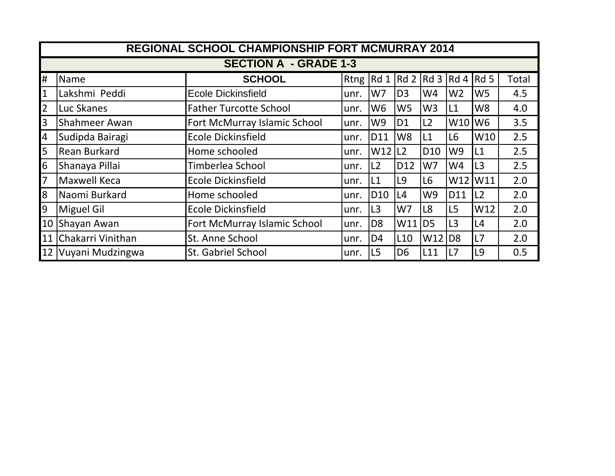|                              | <b>REGIONAL SCHOOL CHAMPIONSHIP FORT MCMURRAY 2014</b> |                               |      |                      |                 |                 |                |                 |       |
|------------------------------|--------------------------------------------------------|-------------------------------|------|----------------------|-----------------|-----------------|----------------|-----------------|-------|
| <b>SECTION A - GRADE 1-3</b> |                                                        |                               |      |                      |                 |                 |                |                 |       |
| Ħ.                           | Name                                                   | <b>SCHOOL</b>                 |      |                      |                 |                 |                |                 | Total |
| $\mathbf{1}$                 | Lakshmi Peddi                                          | <b>Ecole Dickinsfield</b>     | unr. | W7                   | D <sub>3</sub>  | W4              | W <sub>2</sub> | W <sub>5</sub>  | 4.5   |
| $\overline{2}$               | Luc Skanes                                             | <b>Father Turcotte School</b> | unr. | W <sub>6</sub>       | W <sub>5</sub>  | W <sub>3</sub>  | L1             | W <sub>8</sub>  | 4.0   |
| $\overline{3}$               | Shahmeer Awan                                          | Fort McMurray Islamic School  | unr. | W9                   | D <sub>1</sub>  | L2              | W10            | W <sub>6</sub>  | 3.5   |
| $\overline{4}$               | Sudipda Bairagi                                        | <b>Ecole Dickinsfield</b>     | unr. | <b>D11</b>           | W <sub>8</sub>  | L1              | L6             | W <sub>10</sub> | 2.5   |
| $\overline{5}$               | <b>Rean Burkard</b>                                    | Home schooled                 | unr. | $W12$ L <sub>2</sub> |                 | D <sub>10</sub> | W9             | L1              | 2.5   |
| $6\overline{6}$              | Shanaya Pillai                                         | Timberlea School              | unr. | L2                   | D <sub>12</sub> | W7              | W4             | L <sub>3</sub>  | 2.5   |
| $\overline{7}$               | <b>Maxwell Keca</b>                                    | Ecole Dickinsfield            | unr. | L1                   | L <sub>9</sub>  | L6              | W12            | W11             | 2.0   |
| $8\,$                        | Naomi Burkard                                          | Home schooled                 | unr. | D <sub>10</sub>      | L4              | W9              | D11            | L2              | 2.0   |
| $\overline{9}$               | <b>Miguel Gil</b>                                      | Ecole Dickinsfield            | unr. | L <sub>3</sub>       | W7              | L8              | L5             | W12             | 2.0   |
| 10                           | Shayan Awan                                            | Fort McMurray Islamic School  | unr. | D <sub>8</sub>       | W11             | D <sub>5</sub>  | L3             | L4              | 2.0   |
| 11                           | Chakarri Vinithan                                      | St. Anne School               | unr. | D <sub>4</sub>       | L <sub>10</sub> | W12             | D <sub>8</sub> | L7              | 2.0   |
| 12                           | Vuyani Mudzingwa                                       | St. Gabriel School            | unr. | L <sub>5</sub>       | D <sub>6</sub>  | L11             | L7             | L9              | 0.5   |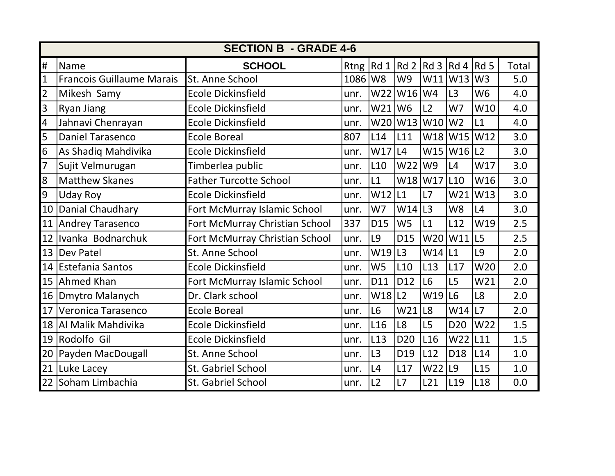| <b>SECTION B - GRADE 4-6</b> |                                  |                                |             |                 |                 |                 |                 |                 |       |
|------------------------------|----------------------------------|--------------------------------|-------------|-----------------|-----------------|-----------------|-----------------|-----------------|-------|
| #                            | Name                             | <b>SCHOOL</b>                  | Rtng $Rd_1$ |                 | Rd 2            | Rd <sub>3</sub> | Rd <sub>4</sub> | Rd <sub>5</sub> | Total |
| $\mathbf{1}$                 | <b>Francois Guillaume Marais</b> | St. Anne School                | 1086        | W <sub>8</sub>  | W9              | W11             | W13             | W <sub>3</sub>  | 5.0   |
| $\overline{2}$               | Mikesh Samy                      | <b>Ecole Dickinsfield</b>      | unr.        | W22             | W <sub>16</sub> | W4              | L <sub>3</sub>  | W <sub>6</sub>  | 4.0   |
| 3                            | Ryan Jiang                       | <b>Ecole Dickinsfield</b>      | unr.        | W21             | W <sub>6</sub>  | L2              | W7              | W10             | 4.0   |
| 4                            | Jahnavi Chenrayan                | <b>Ecole Dickinsfield</b>      | unr.        | W20             | W13             | W10             | W <sub>2</sub>  | L1              | 4.0   |
| 5                            | <b>Daniel Tarasenco</b>          | <b>Ecole Boreal</b>            | 807         | L14             | L11             | W18             | W <sub>15</sub> | W12             | 3.0   |
| 6                            | As Shadiq Mahdivika              | <b>Ecole Dickinsfield</b>      | unr.        | W17             | L4              | W15             | $W16$   L2      |                 | 3.0   |
| $\overline{7}$               | Sujit Velmurugan                 | Timberlea public               | unr.        | L10             | W22             | W9              | L4              | W17             | 3.0   |
| 8                            | <b>Matthew Skanes</b>            | <b>Father Turcotte School</b>  | unr.        | L1              | W18             | W17             | L <sub>10</sub> | W16             | 3.0   |
| 9                            | <b>Uday Roy</b>                  | <b>Ecole Dickinsfield</b>      | unr.        | W12             | L1              | L7              | W <sub>21</sub> | W13             | 3.0   |
| 10                           | Danial Chaudhary                 | Fort McMurray Islamic School   | unr.        | W7              | W14             | L <sub>3</sub>  | W <sub>8</sub>  | L4              | 3.0   |
| 11                           | Andrey Tarasenco                 | Fort McMurray Christian School | 337         | D15             | W <sub>5</sub>  | L1              | L12             | W19             | 2.5   |
| 12                           | Ivanka Bodnarchuk                | Fort McMurray Christian School | unr.        | L9              | D15             | W20             | W11             | L <sub>5</sub>  | 2.5   |
| 13                           | <b>Dev Patel</b>                 | St. Anne School                | unr.        | W19             | L3              | W14             | L1              | L9              | 2.0   |
| 14                           | <b>Estefania Santos</b>          | <b>Ecole Dickinsfield</b>      | unr.        | W <sub>5</sub>  | L <sub>10</sub> | L13             | L17             | W20             | 2.0   |
| 15                           | Ahmed Khan                       | Fort McMurray Islamic School   | unr.        | D11             | D12             | L <sub>6</sub>  | L <sub>5</sub>  | W21             | 2.0   |
| 16                           | Dmytro Malanych                  | Dr. Clark school               | unr.        | W18             | L2              | W19             | L6              | L8              | 2.0   |
| 17                           | Veronica Tarasenco               | <b>Ecole Boreal</b>            | unr.        | L6              | W21             | L8              | W14             | L7              | 2.0   |
| 18                           | Al Malik Mahdivika               | <b>Ecole Dickinsfield</b>      | unr.        | L <sub>16</sub> | L8              | L5              | D <sub>20</sub> | W22             | 1.5   |
| 19                           | Rodolfo Gil                      | <b>Ecole Dickinsfield</b>      | unr.        | L13             | D <sub>20</sub> | L <sub>16</sub> | W22             | L11             | 1.5   |
| 20                           | Payden MacDougall                | St. Anne School                | unr.        | L3              | D19             | L12             | D18             | L14             | 1.0   |
| 21                           | Luke Lacey                       | St. Gabriel School             | unr.        | L4              | L17             | W22             | L9              | L <sub>15</sub> | 1.0   |
| 22                           | Soham Limbachia                  | <b>St. Gabriel School</b>      | unr.        | L2              | L7              | L21             | L <sub>19</sub> | L <sub>18</sub> | 0.0   |